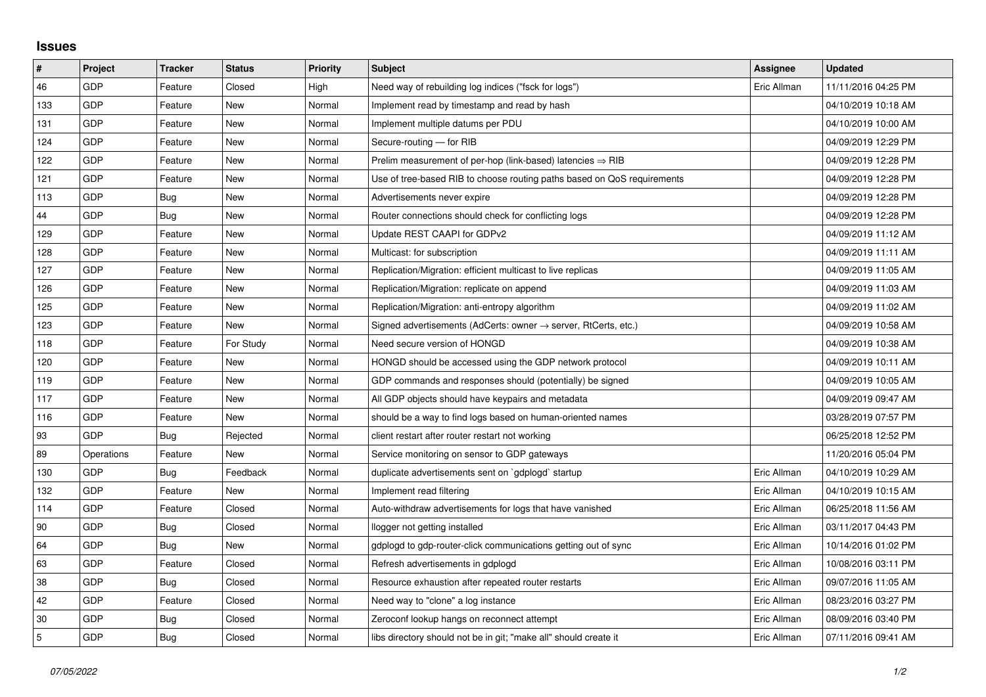## **Issues**

| $\sharp$       | Project    | <b>Tracker</b> | <b>Status</b> | <b>Priority</b> | <b>Subject</b>                                                          | <b>Assignee</b> | <b>Updated</b>      |
|----------------|------------|----------------|---------------|-----------------|-------------------------------------------------------------------------|-----------------|---------------------|
| 46             | GDP        | Feature        | Closed        | High            | Need way of rebuilding log indices ("fsck for logs")                    | Eric Allman     | 11/11/2016 04:25 PM |
| 133            | GDP        | Feature        | New           | Normal          | Implement read by timestamp and read by hash                            |                 | 04/10/2019 10:18 AM |
| 131            | GDP        | Feature        | New           | Normal          | Implement multiple datums per PDU                                       |                 | 04/10/2019 10:00 AM |
| 124            | GDP        | Feature        | New           | Normal          | Secure-routing - for RIB                                                |                 | 04/09/2019 12:29 PM |
| 122            | GDP        | Feature        | New           | Normal          | Prelim measurement of per-hop (link-based) latencies $\Rightarrow$ RIB  |                 | 04/09/2019 12:28 PM |
| 121            | GDP        | Feature        | New           | Normal          | Use of tree-based RIB to choose routing paths based on QoS requirements |                 | 04/09/2019 12:28 PM |
| 113            | GDP        | Bug            | New           | Normal          | Advertisements never expire                                             |                 | 04/09/2019 12:28 PM |
| 44             | GDP        | Bug            | New           | Normal          | Router connections should check for conflicting logs                    |                 | 04/09/2019 12:28 PM |
| 129            | GDP        | Feature        | New           | Normal          | Update REST CAAPI for GDPv2                                             |                 | 04/09/2019 11:12 AM |
| 128            | GDP        | Feature        | <b>New</b>    | Normal          | Multicast: for subscription                                             |                 | 04/09/2019 11:11 AM |
| 127            | GDP        | Feature        | <b>New</b>    | Normal          | Replication/Migration: efficient multicast to live replicas             |                 | 04/09/2019 11:05 AM |
| 126            | GDP        | Feature        | New           | Normal          | Replication/Migration: replicate on append                              |                 | 04/09/2019 11:03 AM |
| 125            | GDP        | Feature        | <b>New</b>    | Normal          | Replication/Migration: anti-entropy algorithm                           |                 | 04/09/2019 11:02 AM |
| 123            | GDP        | Feature        | New           | Normal          | Signed advertisements (AdCerts: owner → server, RtCerts, etc.)          |                 | 04/09/2019 10:58 AM |
| 118            | GDP        | Feature        | For Study     | Normal          | Need secure version of HONGD                                            |                 | 04/09/2019 10:38 AM |
| 120            | GDP        | Feature        | <b>New</b>    | Normal          | HONGD should be accessed using the GDP network protocol                 |                 | 04/09/2019 10:11 AM |
| 119            | GDP        | Feature        | New           | Normal          | GDP commands and responses should (potentially) be signed               |                 | 04/09/2019 10:05 AM |
| 117            | GDP        | Feature        | New           | Normal          | All GDP objects should have keypairs and metadata                       |                 | 04/09/2019 09:47 AM |
| 116            | GDP        | Feature        | New           | Normal          | should be a way to find logs based on human-oriented names              |                 | 03/28/2019 07:57 PM |
| 93             | GDP        | Bug            | Rejected      | Normal          | client restart after router restart not working                         |                 | 06/25/2018 12:52 PM |
| 89             | Operations | Feature        | New           | Normal          | Service monitoring on sensor to GDP gateways                            |                 | 11/20/2016 05:04 PM |
| 130            | GDP        | <b>Bug</b>     | Feedback      | Normal          | duplicate advertisements sent on `gdplogd` startup                      | Eric Allman     | 04/10/2019 10:29 AM |
| 132            | GDP        | Feature        | New           | Normal          | Implement read filtering                                                | Eric Allman     | 04/10/2019 10:15 AM |
| 114            | GDP        | Feature        | Closed        | Normal          | Auto-withdraw advertisements for logs that have vanished                | Eric Allman     | 06/25/2018 11:56 AM |
| 90             | GDP        | Bug            | Closed        | Normal          | llogger not getting installed                                           | Eric Allman     | 03/11/2017 04:43 PM |
| 64             | GDP        | Bug            | New           | Normal          | gdplogd to gdp-router-click communications getting out of sync          | Eric Allman     | 10/14/2016 01:02 PM |
| 63             | <b>GDP</b> | Feature        | Closed        | Normal          | Refresh advertisements in gdplogd                                       | Eric Allman     | 10/08/2016 03:11 PM |
| 38             | GDP        | Bug            | Closed        | Normal          | Resource exhaustion after repeated router restarts                      | Eric Allman     | 09/07/2016 11:05 AM |
| 42             | GDP        | Feature        | Closed        | Normal          | Need way to "clone" a log instance                                      | Eric Allman     | 08/23/2016 03:27 PM |
| 30             | GDP        | Bug            | Closed        | Normal          | Zeroconf lookup hangs on reconnect attempt                              | Eric Allman     | 08/09/2016 03:40 PM |
| $\overline{5}$ | GDP        | Bug            | Closed        | Normal          | libs directory should not be in git; "make all" should create it        | Eric Allman     | 07/11/2016 09:41 AM |